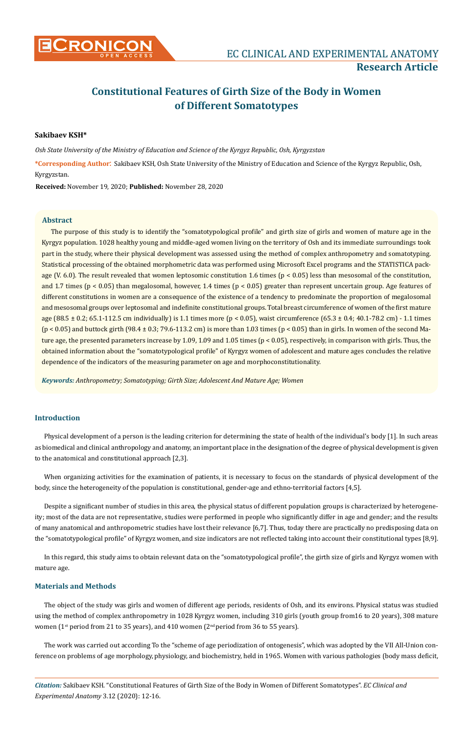

# **Constitutional Features of Girth Size of the Body in Women of Different Somatotypes**

# **Sakibaev KSH\***

*Osh State University of the Ministry of Education and Science of the Kyrgyz Republic, Osh, Kyrgyzstan*

**\*Corresponding Author**: Sakibaev KSH, Osh State University of the Ministry of Education and Science of the Kyrgyz Republic, Osh, Kyrgyzstan.

**Received:** November 19, 2020; **Published:** November 28, 2020

### **Abstract**

The purpose of this study is to identify the "somatotypological profile" and girth size of girls and women of mature age in the Kyrgyz population. 1028 healthy young and middle-aged women living on the territory of Osh and its immediate surroundings took part in the study, where their physical development was assessed using the method of complex anthropometry and somatotyping. Statistical processing of the obtained morphometric data was performed using Microsoft Excel programs and the STATISTICA package (V. 6.0). The result revealed that women leptosomic constitution 1.6 times (p < 0.05) less than mesosomal of the constitution, and 1.7 times (p < 0.05) than megalosomal, however, 1.4 times (p < 0.05) greater than represent uncertain group. Age features of different constitutions in women are a consequence of the existence of a tendency to predominate the proportion of megalosomal and mesosomal groups over leptosomal and indefinite constitutional groups. Total breast circumference of women of the first mature age (88.5 ± 0.2; 65.1-112.5 cm individually) is 1.1 times more (p < 0.05), waist circumference (65.3 ± 0.4; 40.1-78.2 cm) - 1.1 times  $(p < 0.05)$  and buttock girth  $(98.4 \pm 0.3; 79.6 \pm 113.2 \text{ cm})$  is more than 1.03 times  $(p < 0.05)$  than in girls. In women of the second Mature age, the presented parameters increase by 1.09, 1.09 and 1.05 times (p < 0.05), respectively, in comparison with girls. Thus, the obtained information about the "somatotypological profile" of Kyrgyz women of adolescent and mature ages concludes the relative dependence of the indicators of the measuring parameter on age and morphoconstitutionality.

*Keywords: Anthropometry; Somatotyping; Girth Size; Adolescent And Mature Age; Women*

### **Introduction**

Physical development of a person is the leading criterion for determining the state of health of the individual's body [1]. In such areas as biomedical and clinical anthropology and anatomy, an important place in the designation of the degree of physical development is given to the anatomical and constitutional approach [2,3].

When organizing activities for the examination of patients, it is necessary to focus on the standards of physical development of the body, since the heterogeneity of the population is constitutional, gender-age and ethno-territorial factors [4,5].

Despite a significant number of studies in this area, the physical status of different population groups is characterized by heterogeneity; most of the data are not representative, studies were performed in people who significantly differ in age and gender; and the results of many anatomical and anthropometric studies have lost their relevance [6,7]. Thus, today there are practically no predisposing data on the "somatotypological profile" of Kyrgyz women, and size indicators are not reflected taking into account their constitutional types [8,9].

In this regard, this study aims to obtain relevant data on the "somatotypological profile", the girth size of girls and Kyrgyz women with mature age.

## **Materials and Methods**

The object of the study was girls and women of different age periods, residents of Osh, and its environs. Physical status was studied using the method of complex anthropometry in 1028 Kyrgyz women, including 310 girls (youth group from16 to 20 years), 308 mature women ( $1<sup>st</sup>$  period from 21 to 35 years), and 410 women ( $2<sup>nd</sup>$  period from 36 to 55 years).

The work was carried out according To the "scheme of age periodization of ontogenesis", which was adopted by the VII All-Union conference on problems of age morphology, physiology, and biochemistry, held in 1965. Women with various pathologies (body mass deficit,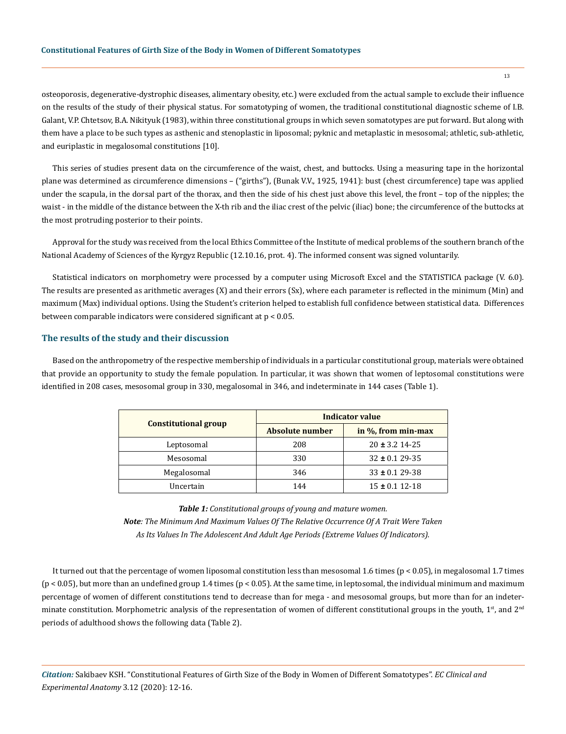osteoporosis, degenerative-dystrophic diseases, alimentary obesity, etc.) were excluded from the actual sample to exclude their influence on the results of the study of their physical status. For somatotyping of women, the traditional constitutional diagnostic scheme of I.B. Galant, V.P. Chtetsov, B.A. Nikityuk (1983), within three constitutional groups in which seven somatotypes are put forward. But along with them have a place to be such types as asthenic and stenoplastic in liposomal; pyknic and metaplastic in mesosomal; athletic, sub-athletic, and euriplastic in megalosomal constitutions [10].

This series of studies present data on the circumference of the waist, chest, and buttocks. Using a measuring tape in the horizontal plane was determined as circumference dimensions – ("girths"), (Bunak V.V., 1925, 1941): bust (chest circumference) tape was applied under the scapula, in the dorsal part of the thorax, and then the side of his chest just above this level, the front – top of the nipples; the waist - in the middle of the distance between the X-th rib and the iliac crest of the pelvic (iliac) bone; the circumference of the buttocks at the most protruding posterior to their points.

Approval for the study was received from the local Ethics Committee of the Institute of medical problems of the southern branch of the National Academy of Sciences of the Kyrgyz Republic (12.10.16, prot. 4). The informed consent was signed voluntarily.

Statistical indicators on morphometry were processed by a computer using Microsoft Excel and the STATISTICA package (V. 6.0). The results are presented as arithmetic averages (X) and their errors (Sx), where each parameter is reflected in the minimum (Min) and maximum (Max) individual options. Using the Student's criterion helped to establish full confidence between statistical data. Differences between comparable indicators were considered significant at p < 0.05.

#### **The results of the study and their discussion**

Based on the anthropometry of the respective membership of individuals in a particular constitutional group, materials were obtained that provide an opportunity to study the female population. In particular, it was shown that women of leptosomal constitutions were identified in 208 cases, mesosomal group in 330, megalosomal in 346, and indeterminate in 144 cases (Table 1).

|                             | <b>Indicator value</b> |                     |  |
|-----------------------------|------------------------|---------------------|--|
| <b>Constitutional group</b> | Absolute number        | in %, from min-max  |  |
| Leptosomal                  | 208                    | $20 \pm 3.2$ 14-25  |  |
| Mesosomal                   | 330                    | $32 \pm 0.129 - 35$ |  |
| Megalosomal                 | 346                    | $33 \pm 0.129 - 38$ |  |
| Uncertain                   | 144                    | $15 \pm 0.1$ 12-18  |  |

*Table 1: Constitutional groups of young and mature women. Note: The Minimum And Maximum Values Of The Relative Occurrence Of A Trait Were Taken As Its Values In The Adolescent And Adult Age Periods (Extreme Values Of Indicators).*

It turned out that the percentage of women liposomal constitution less than mesosomal 1.6 times (p < 0.05), in megalosomal 1.7 times (p < 0.05), but more than an undefined group 1.4 times (p < 0.05). At the same time, in leptosomal, the individual minimum and maximum percentage of women of different constitutions tend to decrease than for mega - and mesosomal groups, but more than for an indeterminate constitution. Morphometric analysis of the representation of women of different constitutional groups in the youth,  $1<sup>st</sup>$ , and  $2<sup>nd</sup>$ periods of adulthood shows the following data (Table 2).

*Citation:* Sakibaev KSH. "Constitutional Features of Girth Size of the Body in Women of Different Somatotypes". *EC Clinical and Experimental Anatomy* 3.12 (2020): 12-16.

13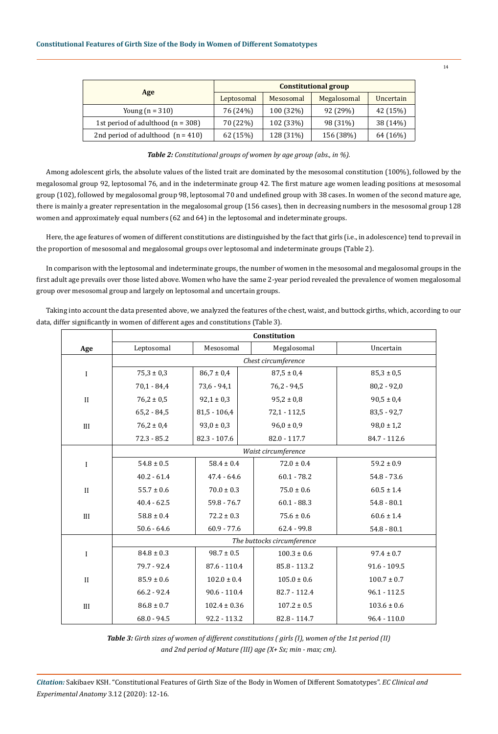|                                     | <b>Constitutional group</b> |           |             |           |
|-------------------------------------|-----------------------------|-----------|-------------|-----------|
| Age                                 | Leptosomal                  | Mesosomal | Megalosomal | Uncertain |
| Young $(n = 310)$                   | 76 (24%)                    | 100 (32%) | 92 (29%)    | 42 (15%)  |
| 1st period of adulthood $(n = 308)$ | 70 (22%)                    | 102 (33%) | 98 (31%)    | 38 (14%)  |
| 2nd period of adulthood $(n = 410)$ | 62 (15%)                    | 128 (31%) | 156 (38%)   | 64 (16%)  |

*Table 2: Constitutional groups of women by age group (abs., in %).*

Among adolescent girls, the absolute values of the listed trait are dominated by the mesosomal constitution (100%), followed by the megalosomal group 92, leptosomal 76, and in the indeterminate group 42. The first mature age women leading positions at mesosomal group (102), followed by megalosomal group 98, leptosomal 70 and undefined group with 38 cases. In women of the second mature age, there is mainly a greater representation in the megalosomal group (156 cases), then in decreasing numbers in the mesosomal group 128 women and approximately equal numbers (62 and 64) in the leptosomal and indeterminate groups.

Here, the age features of women of different constitutions are distinguished by the fact that girls (i.e., in adolescence) tend to prevail in the proportion of mesosomal and megalosomal groups over leptosomal and indeterminate groups (Table 2).

In comparison with the leptosomal and indeterminate groups, the number of women in the mesosomal and megalosomal groups in the first adult age prevails over those listed above. Women who have the same 2-year period revealed the prevalence of women megalosomal group over mesosomal group and largely on leptosomal and uncertain groups.

Taking into account the data presented above, we analyzed the features of the chest, waist, and buttock girths, which, according to our data, differ significantly in women of different ages and constitutions (Table 3).

|              | Constitution               |                  |                 |                 |  |  |
|--------------|----------------------------|------------------|-----------------|-----------------|--|--|
| Age          | Leptosomal                 | Mesosomal        | Megalosomal     | Uncertain       |  |  |
|              | Chest circumference        |                  |                 |                 |  |  |
| $\mathbf I$  | $75,3 \pm 0,3$             | $86,7 \pm 0.4$   | $87,5 \pm 0.4$  | $85,3 \pm 0,5$  |  |  |
|              | $70,1 - 84,4$              | $73,6 - 94,1$    | $76,2 - 94,5$   | $80,2 - 92,0$   |  |  |
| $\mathbf{I}$ | $76,2 \pm 0.5$             | $92,1 \pm 0,3$   | $95,2 \pm 0,8$  | $90,5 \pm 0,4$  |  |  |
|              | $65,2 - 84,5$              | $81,5 - 106,4$   | $72,1 - 112,5$  | $83,5 - 92,7$   |  |  |
| III          | $76,2 \pm 0.4$             | $93,0 \pm 0,3$   | $96,0 \pm 0.9$  | $98,0 \pm 1,2$  |  |  |
|              | $72.3 - 85.2$              | $82.3 - 107.6$   | $82.0 - 117.7$  | 84.7 - 112.6    |  |  |
|              | Waist circumference        |                  |                 |                 |  |  |
| $\mathbf I$  | $54.8 \pm 0.5$             | $58.4 \pm 0.4$   | $72.0 \pm 0.4$  | $59.2 \pm 0.9$  |  |  |
|              | $40.2 - 61.4$              | $47.4 - 64.6$    | $60.1 - 78.2$   | $54.8 - 73.6$   |  |  |
| $\mathbf{I}$ | $55.7 \pm 0.6$             | $70.0 \pm 0.3$   | $75.0 \pm 0.6$  | $60.5 \pm 1.4$  |  |  |
|              | $40.4 - 62.5$              | $59.8 - 76.7$    | $60.1 - 88.3$   | $54.8 - 80.1$   |  |  |
| III          | $58.8 \pm 0.4$             | $72.2 \pm 0.3$   | $75.6 \pm 0.6$  | $60.6 \pm 1.4$  |  |  |
|              | $50.6 - 64.6$              | $60.9 - 77.6$    | $62.4 - 99.8$   | $54.8 - 80.1$   |  |  |
|              | The buttocks circumference |                  |                 |                 |  |  |
| I            | $84.8 \pm 0.3$             | $98.7 \pm 0.5$   | $100.3 \pm 0.6$ | $97.4 \pm 0.7$  |  |  |
|              | 79.7 - 92.4                | $87.6 - 110.4$   | $85.8 - 113.2$  | $91.6 - 109.5$  |  |  |
| $\mathbf{I}$ | $85.9 \pm 0.6$             | $102.0 \pm 0.4$  | $105.0 \pm 0.6$ | $100.7 \pm 0.7$ |  |  |
|              | $66.2 - 92.4$              | $90.6 - 110.4$   | 82.7 - 112.4    | $96.1 - 112.5$  |  |  |
| III          | $86.8 \pm 0.7$             | $102.4 \pm 0.36$ | $107.2 \pm 0.5$ | $103.6 \pm 0.6$ |  |  |
|              | $68.0 - 94.5$              | $92.2 - 113.2$   | $82.8 - 114.7$  | $96.4 - 110.0$  |  |  |

*Table 3: Girth sizes of women of different constitutions ( girls (I), women of the 1st period (II) and 2nd period of Mature (III) age (X+ Sx; min - max; cm).*

*Citation:* Sakibaev KSH. "Constitutional Features of Girth Size of the Body in Women of Different Somatotypes". *EC Clinical and Experimental Anatomy* 3.12 (2020): 12-16.

14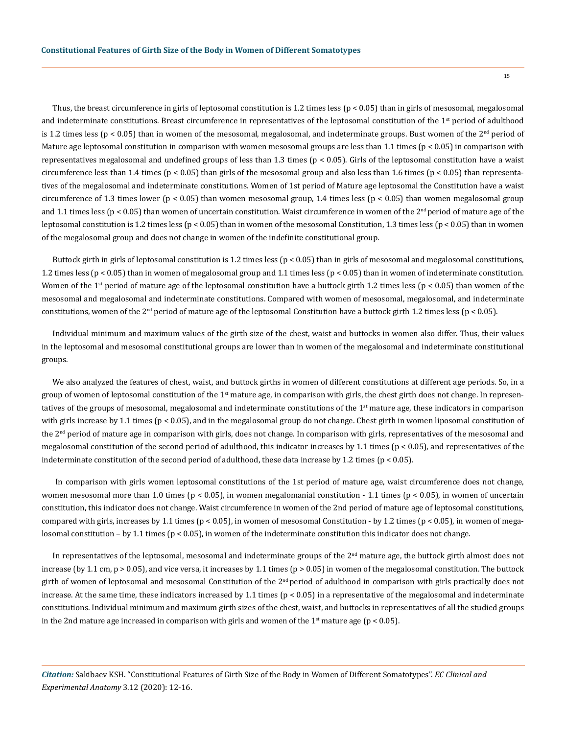Thus, the breast circumference in girls of leptosomal constitution is 1.2 times less (p < 0.05) than in girls of mesosomal, megalosomal and indeterminate constitutions. Breast circumference in representatives of the leptosomal constitution of the  $1<sup>st</sup>$  period of adulthood is 1.2 times less ( $p < 0.05$ ) than in women of the mesosomal, megalosomal, and indeterminate groups. Bust women of the 2<sup>nd</sup> period of Mature age leptosomal constitution in comparison with women mesosomal groups are less than 1.1 times ( $p < 0.05$ ) in comparison with representatives megalosomal and undefined groups of less than 1.3 times ( $p < 0.05$ ). Girls of the leptosomal constitution have a waist circumference less than 1.4 times ( $p < 0.05$ ) than girls of the mesosomal group and also less than 1.6 times ( $p < 0.05$ ) than representatives of the megalosomal and indeterminate constitutions. Women of 1st period of Mature age leptosomal the Constitution have a waist circumference of 1.3 times lower ( $p < 0.05$ ) than women mesosomal group, 1.4 times less ( $p < 0.05$ ) than women megalosomal group and 1.1 times less ( $p < 0.05$ ) than women of uncertain constitution. Waist circumference in women of the  $2<sup>nd</sup>$  period of mature age of the leptosomal constitution is 1.2 times less ( $p < 0.05$ ) than in women of the mesosomal Constitution, 1.3 times less ( $p < 0.05$ ) than in women of the megalosomal group and does not change in women of the indefinite constitutional group.

Buttock girth in girls of leptosomal constitution is 1.2 times less  $(p < 0.05)$  than in girls of mesosomal and megalosomal constitutions, 1.2 times less (p < 0.05) than in women of megalosomal group and 1.1 times less (p < 0.05) than in women of indeterminate constitution. Women of the 1<sup>st</sup> period of mature age of the leptosomal constitution have a buttock girth 1.2 times less ( $p < 0.05$ ) than women of the mesosomal and megalosomal and indeterminate constitutions. Compared with women of mesosomal, megalosomal, and indeterminate constitutions, women of the  $2<sup>nd</sup>$  period of mature age of the leptosomal Constitution have a buttock girth 1.2 times less (p < 0.05).

Individual minimum and maximum values of the girth size of the chest, waist and buttocks in women also differ. Thus, their values in the leptosomal and mesosomal constitutional groups are lower than in women of the megalosomal and indeterminate constitutional groups.

We also analyzed the features of chest, waist, and buttock girths in women of different constitutions at different age periods. So, in a group of women of leptosomal constitution of the  $1<sup>st</sup>$  mature age, in comparison with girls, the chest girth does not change. In representatives of the groups of mesosomal, megalosomal and indeterminate constitutions of the  $1<sup>st</sup>$  mature age, these indicators in comparison with girls increase by 1.1 times ( $p < 0.05$ ), and in the megalosomal group do not change. Chest girth in women liposomal constitution of the 2<sup>nd</sup> period of mature age in comparison with girls, does not change. In comparison with girls, representatives of the mesosomal and megalosomal constitution of the second period of adulthood, this indicator increases by 1.1 times (p < 0.05), and representatives of the indeterminate constitution of the second period of adulthood, these data increase by 1.2 times ( $p < 0.05$ ).

 In comparison with girls women leptosomal constitutions of the 1st period of mature age, waist circumference does not change, women mesosomal more than 1.0 times ( $p < 0.05$ ), in women megalomanial constitution - 1.1 times ( $p < 0.05$ ), in women of uncertain constitution, this indicator does not change. Waist circumference in women of the 2nd period of mature age of leptosomal constitutions, compared with girls, increases by 1.1 times ( $p < 0.05$ ), in women of mesosomal Constitution - by 1.2 times ( $p < 0.05$ ), in women of megalosomal constitution – by 1.1 times (p < 0.05), in women of the indeterminate constitution this indicator does not change.

In representatives of the leptosomal, mesosomal and indeterminate groups of the 2<sup>nd</sup> mature age, the buttock girth almost does not increase (by 1.1 cm,  $p > 0.05$ ), and vice versa, it increases by 1.1 times ( $p > 0.05$ ) in women of the megalosomal constitution. The buttock girth of women of leptosomal and mesosomal Constitution of the  $2<sup>nd</sup>$  period of adulthood in comparison with girls practically does not increase. At the same time, these indicators increased by 1.1 times ( $p < 0.05$ ) in a representative of the megalosomal and indeterminate constitutions. Individual minimum and maximum girth sizes of the chest, waist, and buttocks in representatives of all the studied groups in the 2nd mature age increased in comparison with girls and women of the  $1<sup>st</sup>$  mature age (p < 0.05).

*Citation:* Sakibaev KSH. "Constitutional Features of Girth Size of the Body in Women of Different Somatotypes". *EC Clinical and Experimental Anatomy* 3.12 (2020): 12-16.